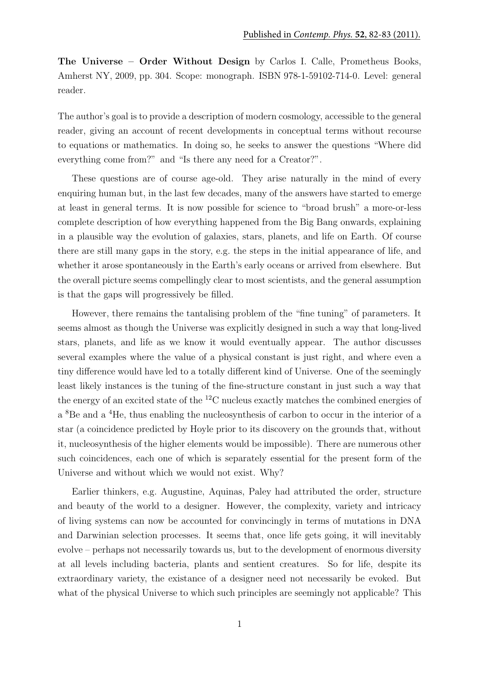The Universe – Order Without Design by Carlos I. Calle, Prometheus Books, Amherst NY, 2009, pp. 304. Scope: monograph. ISBN 978-1-59102-714-0. Level: general reader.

The author's goal is to provide a description of modern cosmology, accessible to the general reader, giving an account of recent developments in conceptual terms without recourse to equations or mathematics. In doing so, he seeks to answer the questions "Where did everything come from?" and "Is there any need for a Creator?".

These questions are of course age-old. They arise naturally in the mind of every enquiring human but, in the last few decades, many of the answers have started to emerge at least in general terms. It is now possible for science to "broad brush" a more-or-less complete description of how everything happened from the Big Bang onwards, explaining in a plausible way the evolution of galaxies, stars, planets, and life on Earth. Of course there are still many gaps in the story, e.g. the steps in the initial appearance of life, and whether it arose spontaneously in the Earth's early oceans or arrived from elsewhere. But the overall picture seems compellingly clear to most scientists, and the general assumption is that the gaps will progressively be filled.

However, there remains the tantalising problem of the "fine tuning" of parameters. It seems almost as though the Universe was explicitly designed in such a way that long-lived stars, planets, and life as we know it would eventually appear. The author discusses several examples where the value of a physical constant is just right, and where even a tiny difference would have led to a totally different kind of Universe. One of the seemingly least likely instances is the tuning of the fine-structure constant in just such a way that the energy of an excited state of the <sup>12</sup>C nucleus exactly matches the combined energies of a <sup>8</sup>Be and a <sup>4</sup>He, thus enabling the nucleosynthesis of carbon to occur in the interior of a star (a coincidence predicted by Hoyle prior to its discovery on the grounds that, without it, nucleosynthesis of the higher elements would be impossible). There are numerous other such coincidences, each one of which is separately essential for the present form of the Universe and without which we would not exist. Why?

Earlier thinkers, e.g. Augustine, Aquinas, Paley had attributed the order, structure and beauty of the world to a designer. However, the complexity, variety and intricacy of living systems can now be accounted for convincingly in terms of mutations in DNA and Darwinian selection processes. It seems that, once life gets going, it will inevitably evolve – perhaps not necessarily towards us, but to the development of enormous diversity at all levels including bacteria, plants and sentient creatures. So for life, despite its extraordinary variety, the existance of a designer need not necessarily be evoked. But what of the physical Universe to which such principles are seemingly not applicable? This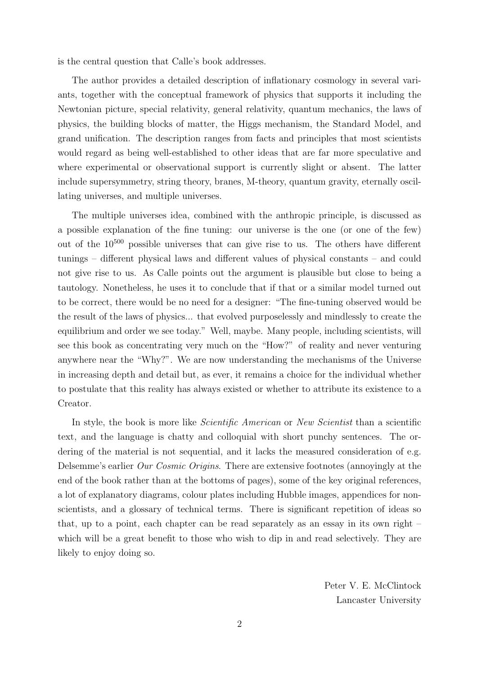is the central question that Calle's book addresses.

The author provides a detailed description of inflationary cosmology in several variants, together with the conceptual framework of physics that supports it including the Newtonian picture, special relativity, general relativity, quantum mechanics, the laws of physics, the building blocks of matter, the Higgs mechanism, the Standard Model, and grand unification. The description ranges from facts and principles that most scientists would regard as being well-established to other ideas that are far more speculative and where experimental or observational support is currently slight or absent. The latter include supersymmetry, string theory, branes, M-theory, quantum gravity, eternally oscillating universes, and multiple universes.

The multiple universes idea, combined with the anthropic principle, is discussed as a possible explanation of the fine tuning: our universe is the one (or one of the few) out of the  $10^{500}$  possible universes that can give rise to us. The others have different tunings – different physical laws and different values of physical constants – and could not give rise to us. As Calle points out the argument is plausible but close to being a tautology. Nonetheless, he uses it to conclude that if that or a similar model turned out to be correct, there would be no need for a designer: "The fine-tuning observed would be the result of the laws of physics... that evolved purposelessly and mindlessly to create the equilibrium and order we see today." Well, maybe. Many people, including scientists, will see this book as concentrating very much on the "How?" of reality and never venturing anywhere near the "Why?". We are now understanding the mechanisms of the Universe in increasing depth and detail but, as ever, it remains a choice for the individual whether to postulate that this reality has always existed or whether to attribute its existence to a Creator.

In style, the book is more like *Scientific American* or *New Scientist* than a scientific text, and the language is chatty and colloquial with short punchy sentences. The ordering of the material is not sequential, and it lacks the measured consideration of e.g. Delsemme's earlier *Our Cosmic Origins*. There are extensive footnotes (annoyingly at the end of the book rather than at the bottoms of pages), some of the key original references, a lot of explanatory diagrams, colour plates including Hubble images, appendices for nonscientists, and a glossary of technical terms. There is significant repetition of ideas so that, up to a point, each chapter can be read separately as an essay in its own right – which will be a great benefit to those who wish to dip in and read selectively. They are likely to enjoy doing so.

> Peter V. E. McClintock Lancaster University